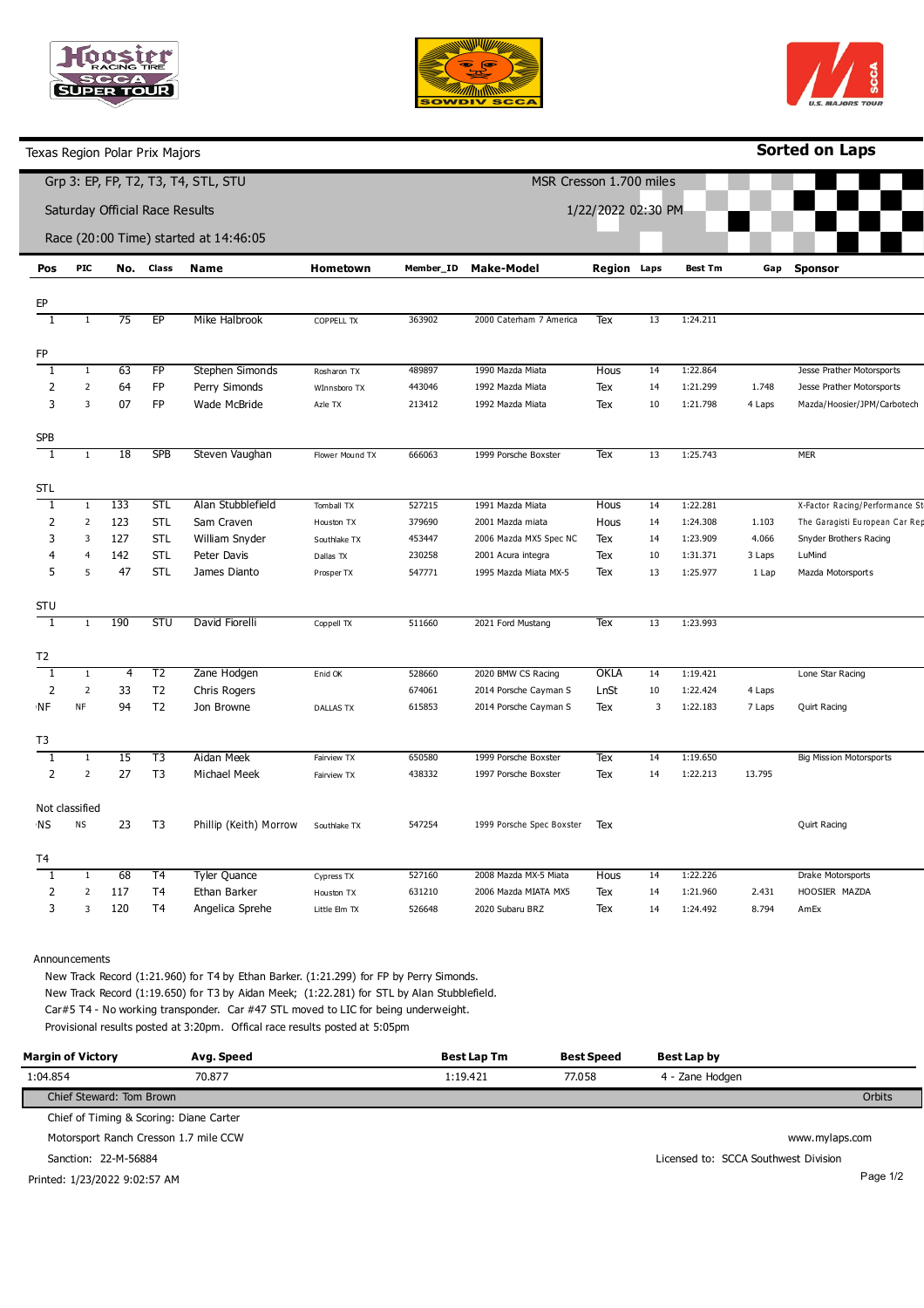





Texas Region Polar Prix Majors

**Sorted on Laps**

|                                       |                |     |                 | Grp 3: EP, FP, T2, T3, T4, STL, STU |                  |                    | MSR Cresson 1.700 miles   |                    |    |                |        |                                |
|---------------------------------------|----------------|-----|-----------------|-------------------------------------|------------------|--------------------|---------------------------|--------------------|----|----------------|--------|--------------------------------|
| Saturday Official Race Results        |                |     |                 |                                     |                  | 1/22/2022 02:30 PM |                           |                    |    |                |        |                                |
| Race (20:00 Time) started at 14:46:05 |                |     |                 |                                     |                  |                    |                           |                    |    |                |        |                                |
| Pos                                   | <b>PIC</b>     | No. | Class           | Name                                | Hometown         | Member_ID          | <b>Make-Model</b>         | <b>Region Laps</b> |    | <b>Best Tm</b> | Gap    | <b>Sponsor</b>                 |
| EP                                    |                |     |                 |                                     |                  |                    |                           |                    |    |                |        |                                |
| 1                                     | $\mathbf{1}$   | 75  | EP              | Mike Halbrook                       | COPPELL TX       | 363902             | 2000 Caterham 7 America   | Tex                | 13 | 1:24.211       |        |                                |
|                                       |                |     |                 |                                     |                  |                    |                           |                    |    |                |        |                                |
| FP                                    |                |     |                 |                                     |                  |                    |                           |                    |    |                |        |                                |
| 1                                     | $\,1\,$        | 63  | $\overline{FP}$ | Stephen Simonds                     | Rosharon TX      | 489897             | 1990 Mazda Miata          | Hous               | 14 | 1:22.864       |        | Jesse Prather Motorsports      |
| $\overline{2}$                        | $\overline{2}$ | 64  | <b>FP</b>       | Perry Simonds                       | WInnsboro TX     | 443046             | 1992 Mazda Miata          | Tex                | 14 | 1:21.299       | 1.748  | Jesse Prather Motorsports      |
| 3                                     | 3              | 07  | <b>FP</b>       | Wade McBride                        | Azle TX          | 213412             | 1992 Mazda Miata          | Tex                | 10 | 1:21.798       | 4 Laps | Mazda/Hoosier/JPM/Carbotech    |
| SPB                                   |                |     |                 |                                     |                  |                    |                           |                    |    |                |        |                                |
| 1                                     | $\mathbf{1}$   | 18  | <b>SPB</b>      | Steven Vaughan                      | Flower Mound TX  | 666063             | 1999 Porsche Boxster      | Tex                | 13 | 1:25.743       |        | <b>MER</b>                     |
| STL                                   |                |     |                 |                                     |                  |                    |                           |                    |    |                |        |                                |
| 1                                     | $\mathbf{1}$   | 133 | <b>STL</b>      | Alan Stubblefield                   | Tomball TX       | 527215             | 1991 Mazda Miata          | Hous               | 14 | 1:22.281       |        | X-Factor Racing/Performance St |
| 2                                     | $\overline{2}$ | 123 | <b>STL</b>      | Sam Craven                          | Houston TX       | 379690             | 2001 Mazda miata          | Hous               | 14 | 1:24.308       | 1.103  | The Garagisti European Car Rep |
| 3                                     | 3              | 127 | <b>STL</b>      | William Snyder                      | Southlake TX     | 453447             | 2006 Mazda MX5 Spec NC    | Tex                | 14 | 1:23.909       | 4.066  | Snyder Brothers Racing         |
| 4                                     | $\overline{4}$ | 142 | <b>STL</b>      | Peter Davis                         | Dallas TX        | 230258             | 2001 Acura integra        | Tex                | 10 | 1:31.371       | 3 Laps | LuMind                         |
| 5                                     | 5              | 47  | <b>STL</b>      | James Dianto                        | Prosper TX       | 547771             | 1995 Mazda Miata MX-5     | Tex                | 13 | 1:25.977       | 1 Lap  | Mazda Motorsports              |
|                                       |                |     |                 |                                     |                  |                    |                           |                    |    |                |        |                                |
| <b>STU</b>                            |                |     |                 |                                     |                  |                    |                           |                    |    |                |        |                                |
| $\overline{1}$                        | $1\,$          | 190 | <b>STU</b>      | David Fiorelli                      | Coppell TX       | 511660             | 2021 Ford Mustang         | Tex                | 13 | 1:23.993       |        |                                |
| T2                                    |                |     |                 |                                     |                  |                    |                           |                    |    |                |        |                                |
| 1                                     | $1\,$          | 4   | T <sub>2</sub>  | Zane Hodgen                         | Enid OK          | 528660             | 2020 BMW CS Racing        | OKLA               | 14 | 1:19.421       |        | Lone Star Racing               |
| $\overline{2}$                        | $\mathbf 2$    | 33  | T <sub>2</sub>  | Chris Rogers                        |                  | 674061             | 2014 Porsche Cayman S     | LnSt               | 10 | 1:22.424       | 4 Laps |                                |
| NF                                    | NF             | 94  | T <sub>2</sub>  | Jon Browne                          | <b>DALLAS TX</b> | 615853             | 2014 Porsche Cayman S     | Tex                | 3  | 1:22.183       | 7 Laps | Quirt Racing                   |
| T3                                    |                |     |                 |                                     |                  |                    |                           |                    |    |                |        |                                |
| 1                                     | $\,1\,$        | 15  | T3              | Aidan Meek                          | Fairview TX      | 650580             | 1999 Porsche Boxster      | Tex                | 14 | 1:19.650       |        | <b>Big Mission Motorsports</b> |
| $\overline{2}$                        | $\overline{2}$ | 27  | T <sub>3</sub>  | Michael Meek                        | Fairview TX      | 438332             | 1997 Porsche Boxster      | Tex                | 14 | 1:22.213       | 13.795 |                                |
|                                       | Not classified |     |                 |                                     |                  |                    |                           |                    |    |                |        |                                |
| ΝS                                    | <b>NS</b>      | 23  | T <sub>3</sub>  |                                     |                  | 547254             | 1999 Porsche Spec Boxster | Tex                |    |                |        | Quirt Racing                   |
|                                       |                |     |                 | Phillip (Keith) Morrow              | Southlake TX     |                    |                           |                    |    |                |        |                                |
| T4                                    |                |     |                 |                                     |                  |                    |                           |                    |    |                |        |                                |
| 1                                     | $\,1\,$        | 68  | T <sub>4</sub>  | <b>Tyler Quance</b>                 | Cypress TX       | 527160             | 2008 Mazda MX-5 Miata     | Hous               | 14 | 1:22.226       |        | Drake Motorsports              |
| $\overline{2}$                        | $\mathbf 2$    | 117 | T <sub>4</sub>  | Ethan Barker                        | Houston TX       | 631210             | 2006 Mazda MIATA MX5      | Tex                | 14 | 1:21.960       | 2.431  | HOOSIER MAZDA                  |
| 3                                     | 3              | 120 | T <sub>4</sub>  | Angelica Sprehe                     | Little Elm TX    | 526648             | 2020 Subaru BRZ           | Tex                | 14 | 1:24.492       | 8.794  | AmEx                           |

Announcements

New Track Record (1:21.960) for T4 by Ethan Barker. (1:21.299) for FP by Perry Simonds. New Track Record (1:19.650) for T3 by Aidan Meek; (1:22.281) for STL by Alan Stubblefield. Car#5 T4 - No working transponder. Car #47 STL moved to LIC for being underweight. Provisional results posted at 3:20pm. Offical race results posted at 5:05pm

| <b>Margin of Victory</b>                | Avg. Speed | Best Lap Tm | <b>Best Speed</b> | Best Lap by                          |                |
|-----------------------------------------|------------|-------------|-------------------|--------------------------------------|----------------|
| 1:04.854                                | 70.877     | 1:19.421    | 77.058            | 4 - Zane Hodgen                      |                |
| Chief Steward: Tom Brown                |            |             |                   |                                      | Orbits         |
| Chief of Timing & Scoring: Diane Carter |            |             |                   |                                      |                |
| Motorsport Ranch Cresson 1.7 mile CCW   |            |             |                   |                                      | www.mylaps.com |
| Sanction: 22-M-56884                    |            |             |                   | Licensed to: SCCA Southwest Division |                |
| Printed: 1/23/2022 9:02:57 AM           |            |             |                   |                                      | Page 1/2       |